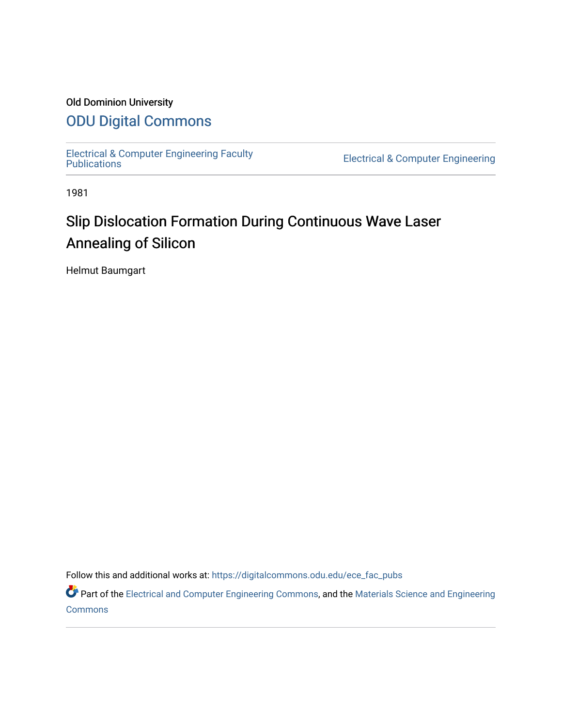## Old Dominion University

# [ODU Digital Commons](https://digitalcommons.odu.edu/)

[Electrical & Computer Engineering Faculty](https://digitalcommons.odu.edu/ece_fac_pubs) 

**Electrical & Computer Engineering** 

1981

# Slip Dislocation Formation During Continuous Wave Laser Annealing of Silicon

Helmut Baumgart

Follow this and additional works at: [https://digitalcommons.odu.edu/ece\\_fac\\_pubs](https://digitalcommons.odu.edu/ece_fac_pubs?utm_source=digitalcommons.odu.edu%2Fece_fac_pubs%2F277&utm_medium=PDF&utm_campaign=PDFCoverPages) 

Part of the [Electrical and Computer Engineering Commons](http://network.bepress.com/hgg/discipline/266?utm_source=digitalcommons.odu.edu%2Fece_fac_pubs%2F277&utm_medium=PDF&utm_campaign=PDFCoverPages), and the Materials Science and Engineering **[Commons](http://network.bepress.com/hgg/discipline/285?utm_source=digitalcommons.odu.edu%2Fece_fac_pubs%2F277&utm_medium=PDF&utm_campaign=PDFCoverPages)**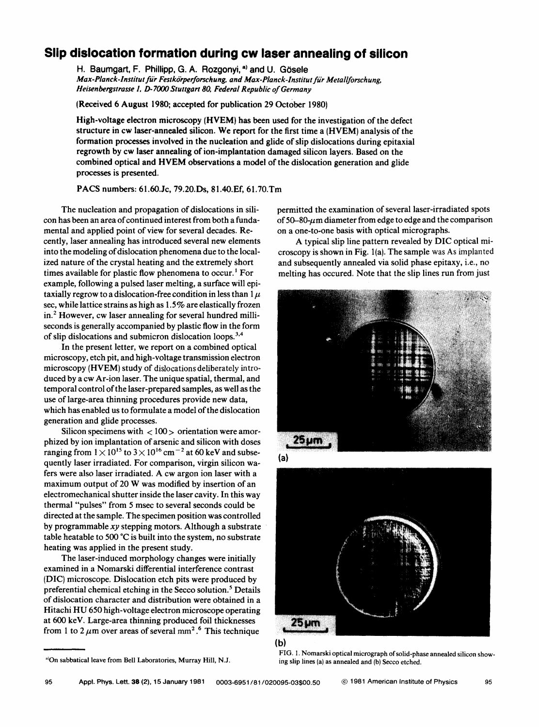### **Slip dislocation formation during cw laser annealing of silicon**

H. Baumgart, F. Phillipp, G. A. Rozgonyi, a) and U. Gösele Max-Planck-Institut für Festkörperforschung, and Max-Planck-Institut für Metallforschung, *Heisenbergstrasse I.* D- *7000 Stuttgart 80, Federal Republic of Germany* 

**(Received** 6 **August** 1980; accepted for publication 29 October 1980)

High-voltage electron microscopy **(HVEM)** has been used for the investigation of the defect structure in cw laser-annealed silicon. We report for the first time a (HVEM) analysis of the formation processes involved in the nucleation and glide of slip dislocations during epitaxial regrowth by cw laser annealing of ion-implantation damaged silicon layers. Based on the combined optical and **HVEM** observations a model of the dislocation generation and glide processes is presented.

**PACS** numbers: 61.60.Jc, 79.20.Ds, 81.40.Ef, 61.70.Tm

The nucleation and propagation of dislocations in silicon has been an area of continued interest from both a fundamental and applied point of view for several decades. Recently, laser annealing has introduced several new elements into the modeling of dislocation phenomena *due* to *the* localized nature of *the* crystal heating and *the extremely* short times available for plastic flow phenomena to occur.<sup>1</sup> For example, following a pulsed laser melting, a surface will epitaxially regrow to a dislocation-free condition in less than  $1 \mu$ sec, while lattice strains as high as 1.5% are elastically frozen in. 2 However, cw laser annealing for several hundred milliseconds is generally accompanied by plastic flow in the form of slip dislocations and submicron dislocation loops.<sup>3,4</sup>

In the present letter, we report on a combined optical microscopy, etch pit, and high-voltage transmission electron microscopy **(HVEM)** study of dislocations deliberately introduced by a cw Ar-ion laser. The unique spatial, thermal, and temporal control of the laser-prepared samples, as well as the use of large-area thinning procedures provide new data, which has enabled us to formulate a model of *the* dislocation generation and glide processes.

Silicon specimens with  $\langle 100 \rangle$  orientation were amorphized by ion implantation of arsenic and silicon with doses ranging from  $1 \times 10^{15}$  to  $3 \times 10^{16}$  cm<sup>-2</sup> at 60 keV and subsequently laser irradiated. For comparison, virgin silicon wafers were also laser irradiated. A cw argon ion laser with a maximum output of 20 W was modified by insertion of an electromechanical shutter inside the laser cavity. In this way thermal "pulses" from *5* msec to several seconds could be directed at the sample. The specimen position was controlled by programmable xy stepping motors. Although a substrate table heatable to 500  $^{\circ}$ C is built into the system, no substrate heating was applied in the present study.

The laser-induced morphology changes were initially examined in a Nomarski differential interference contrast (DIC) microscope. Dislocation etch pits were produced by preferential chemical etching in the Secco solution.<sup>5</sup> Details of dislocation character and distribution were obtained in a Hitachi HU 650 high-voltage electron microscope operating at 600 keV. Large-area thinning produced foil thicknesses from 1 to 2  $\mu$ m over areas of several mm<sup>2</sup>.<sup>6</sup> This technique

<sup>a)</sup>On sabbatical leave from Bell Laboratories, Murray Hill, N.J.

permitted the examination of several laser-irradiated spots of 50–80- $\mu$ m diameter from edge to edge and the comparison on a one-to-one basis with optical micrographs.

A typical slip line pattern revealed by DIC optical microscopy is shown in Fig. l(a). The sample was As implanted and subsequently annealed via solid phase epitaxy, i.e., no melting has occured. Note that the slip lines run from just







FIG. I. Nomarski optical micrograph of solid-phase annealed silicon showing slip lines (a) as annealed and (b) Secco etched.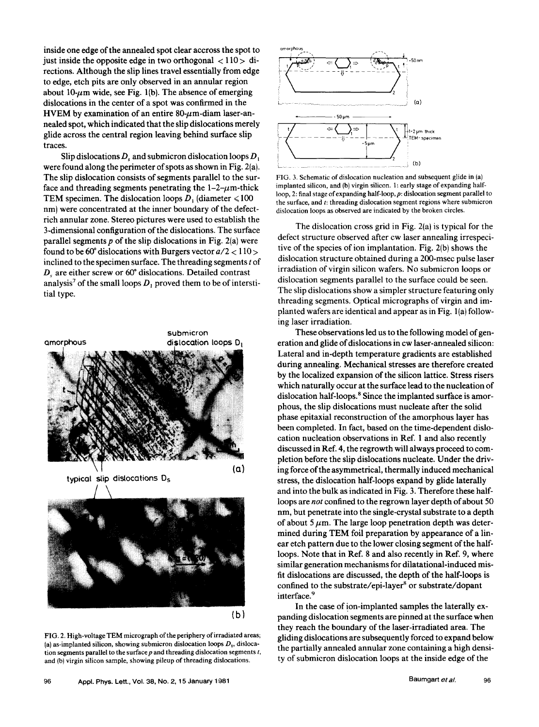inside one edge of the annealed spot clear accross the spot to just inside the opposite edge in two orthogonal  $\langle 110 \rangle$  directions. Although the slip lines travel essentially from edge to edge, etch pits are only observed in an annular region about  $10$ - $\mu$ m wide, see Fig. 1(b). The absence of emerging dislocations in the center of a spot was confirmed in the **HVEM** by examination of an entire  $80-\mu$ m-diam laser-annealed spot, which indicated that the slip dislocations merely glide across the central region leaving behind surface slip traces.

Slip dislocations  $D_s$  and submicron dislocation loops  $D_1$ were found along the perimeter of spots as shown in Fig. 2(a). The slip dislocation consists of segments parallel to the surface and threading segments penetrating the  $1-2-\mu m$ -thick TEM specimen. The dislocation loops  $D_1$  (diameter  $\leq 100$ ) nm) were concentrated at the inner boundary of the defectrich annular zone. Stereo pictures were used to establish the 3-dimensional configuration of the dislocations. The surface parallel segments *p* of the slip dislocations in Fig. 2(a) were found to be 60° dislocations with Burgers vector  $a/2 < 110 >$ inclined to the specimen surface. The threading segments *t* of *Ds* are either screw or 60° dislocations. Detailed contrast analysis<sup>7</sup> of the small loops  $D_1$  proved them to be of interstitial type.



FIG. 2. High-voltage TEM micrograph of the periphery of irradiated areas; (a) as-implanted silicon, showing submicron dislocation loops  $D_1$ , dislocation segments parallel to the surface *p* and threading dislocation segments *t,*  and (b) virgin silicon sample, showing pileup of threading dislocations.



FIG. 3. Schematic of dislocation nucleation and subsequent glide in (a) implanted silicon, and (b) virgin silicon. 1: early stage of expanding halfloop, 2: final stage of expanding half-loop, p: dislocation segment parallel to the surface, and t: threading dislocation segment regions where submicron dislocation loops as observed are indicated by the broken circles.

The dislocation cross grid in Fig. 2(a) is typical for the defect structure observed after cw laser annealing irrespecitive of the species of ion implantation. Fig. 2(b) shows the dislocation structure obtained during a 200-msec pulse laser irradiation of virgin silicon wafers. No submicron loops or dislocation segments parallel to the surface could be seen. The slip dislocations show a simpler structure featuring only threading segments. Optical micrographs of virgin and implanted wafers are identical and appear as in Fig. l(a) following laser irradiation.

These observations led us to the following model of generation and glide of dislocations in cw laser-annealed silicon: Lateral and in-depth temperature gradients are established during annealing. Mechanical stresses are therefore created by the localized expansion of the silicon lattice. Stress risers which naturally occur at the surface lead to the nucleation of dislocation half-loops. 8 Since the implanted surface is amorphous, the slip dislocations must nucleate after the solid phase epitaxial reconstruction of the amorphous layer has been completed. In fact, based on the time-dependent dislocation nucleation observations in Ref. 1 and also recently discussed in Ref. 4, the regrowth will always proceed to completion before the slip dislocations nucleate. Under the driving force of the asymmetrical, thermally induced mechanical stress, the dislocation half-loops expand by glide laterally and into the bulk as indicated in Fig. 3. Therefore these halfloops are *not* confined to the regrown layer depth of about 50 nm, but penetrate into the single-crystal substrate to a depth of about  $5 \mu$ m. The large loop penetration depth was determined during TEM foil preparation by appearance of a linear etch pattern due to the lower closing segment of the halfloops. Note that in Ref. 8 and also recently in Ref. 9, where similar generation mechanisms for dilatational-induced misfit dislocations are discussed, the depth of the half-loops is confined to the substrate/epi-layer<sup>8</sup> or substrate/dopant interface.<sup>9</sup>

In the case of ion-implanted samples the laterally expanding dislocation segments are pinned at the surface when they reach the boundary of the laser-irradiated area. The gliding dislocations are subsequently forced to expand below the partially annealed annular zone containing a high density of submicron dislocation loops at the inside edge of the